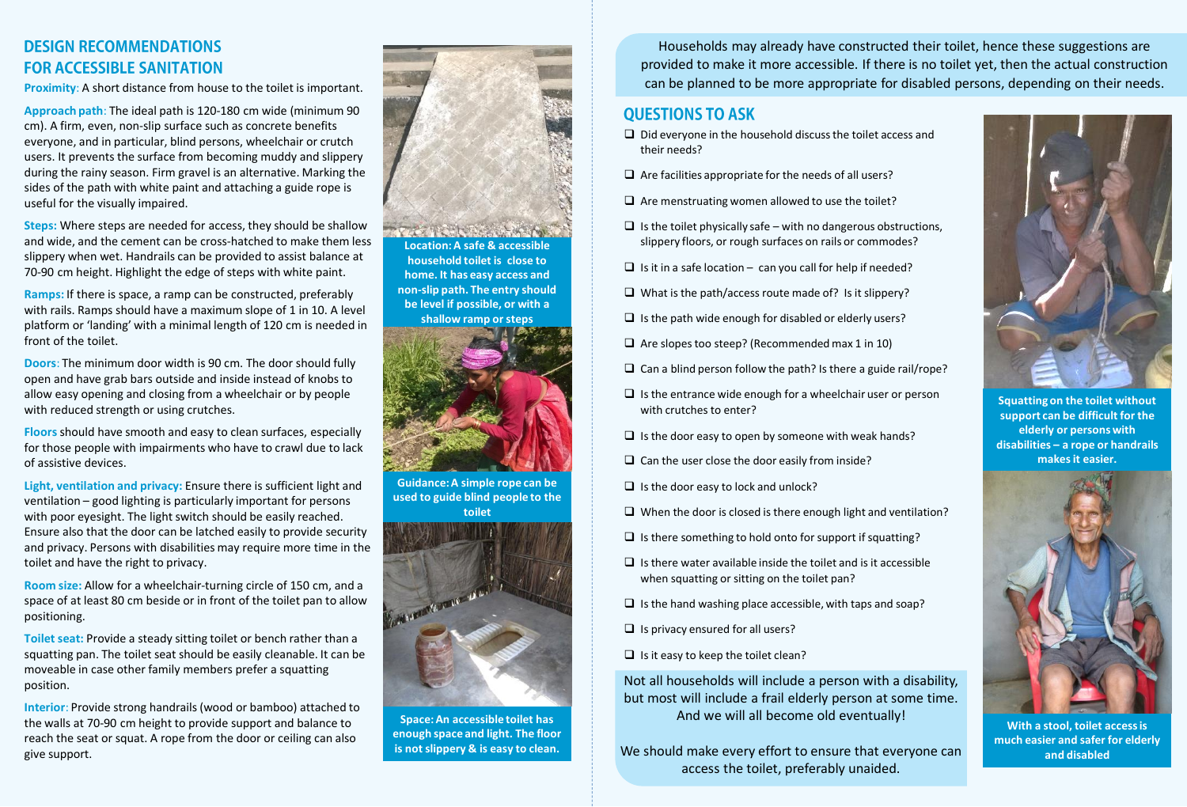## **DESIGN RECOMMENDATIONS FOR ACCESSIBLE SANITATION**

**Proximity:** A short distance from house to the toilet is important.

**Approach path**: The ideal path is 120-180 cm wide (minimum 90 cm). A firm, even, non-slip surface such as concrete benefits everyone, and in particular, blind persons, wheelchair or crutch users. It prevents the surface from becoming muddy and slippery during the rainy season. Firm gravel is an alternative. Marking the sides of the path with white paint and attaching a guide rope is useful for the visually impaired.

**Steps:** Where steps are needed for access, they should be shallow and wide, and the cement can be cross-hatched to make them less slippery when wet. Handrails can be provided to assist balance at 70-90 cm height. Highlight the edge of steps with white paint.

**Ramps:** If there is space, a ramp can be constructed, preferably with rails. Ramps should have a maximum slope of 1 in 10. A level platform or 'landing' with a minimal length of 120 cm is needed in front of the toilet.

**Doors**: The minimum door width is 90 cm. The door should fully open and have grab bars outside and inside instead of knobs to allow easy opening and closing from a wheelchair or by people with reduced strength or using crutches.

**Floors**should have smooth and easy to clean surfaces, especially for those people with impairments who have to crawl due to lack of assistive devices.

**Light, ventilation and privacy:** Ensure there is sufficient light and ventilation – good lighting is particularly important for persons with poor eyesight. The light switch should be easily reached. Ensure also that the door can be latched easily to provide security and privacy. Persons with disabilities may require more time in the toilet and have the right to privacy.

**Room size:** Allow for a wheelchair-turning circle of 150 cm, and a space of at least 80 cm beside or in front of the toilet pan to allow positioning.

**Toilet seat:** Provide a steady sitting toilet or bench rather than a squatting pan. The toilet seat should be easily cleanable. It can be moveable in case other family members prefer a squatting position.

**Interior**: Provide strong handrails (wood or bamboo) attached to the walls at 70-90 cm height to provide support and balance to reach the seat or squat. A rope from the door or ceiling can also give support.



**home. It has easy access and non-slip path. The entry should be level if possible, or with a shallow ramp or steps** 



**Guidance: A simple rope can be used to guide blind people to the toilet** 



**Space: An accessible toilet has enough space and light. The floor is not slippery & is easy to clean.**

Households may already have constructed their toilet, hence these suggestions are provided to make it more accessible. If there is no toilet yet, then the actual construction can be planned to be more appropriate for disabled persons, depending on their needs.

#### **OUESTIONS TO ASK**

- $\Box$  Did everyone in the household discuss the toilet access and their needs?
- $\Box$  Are facilities appropriate for the needs of all users?
- $\Box$  Are menstruating women allowed to use the toilet?
- $\Box$  Is the toilet physically safe with no dangerous obstructions, slippery floors, or rough surfaces on rails or commodes?
- $\Box$  Is it in a safe location can you call for help if needed?
- $\Box$  What is the path/access route made of? Is it slippery?
- $\Box$  Is the path wide enough for disabled or elderly users?
- $\Box$  Are slopes too steep? (Recommended max 1 in 10)
- $\Box$  Can a blind person follow the path? Is there a guide rail/rope?
- $\Box$  Is the entrance wide enough for a wheelchair user or person with crutches to enter?
- $\Box$  Is the door easy to open by someone with weak hands?
- $\Box$  Can the user close the door easily from inside?
- $\Box$  Is the door easy to lock and unlock?
- $\Box$  When the door is closed is there enough light and ventilation?
- $\Box$  Is there something to hold onto for support if squatting?
- $\Box$  Is there water available inside the toilet and is it accessible when squatting or sitting on the toilet pan?
- $\Box$  Is the hand washing place accessible, with taps and soap?
- $\Box$  Is privacy ensured for all users?
- $\Box$  Is it easy to keep the toilet clean?

Not all households will include a person with a disability, but most will include a frail elderly person at some time. And we will all become old eventually!

We should make every effort to ensure that everyone can access the toilet, preferably unaided.



**Squatting on the toilet without support can be difficult for the elderly or persons with disabilities – a rope or handrails makes it easier.**



**With a stool, toilet access is much easier and safer for elderly and disabled**